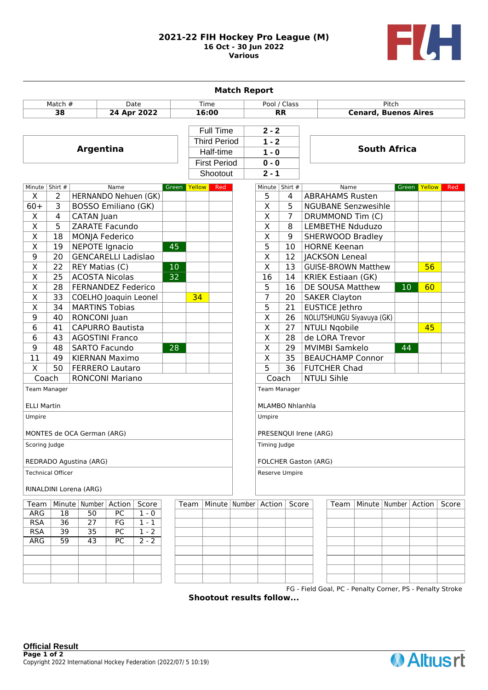## **2021-22 FIH Hockey Pro League (M) 16 Oct - 30 Jun 2022 Various**



| <b>Match Report</b>             |                            |                              |        |         |                 |              |                                  |                             |                             |       |                             |                           |                            |                 |                          |       |
|---------------------------------|----------------------------|------------------------------|--------|---------|-----------------|--------------|----------------------------------|-----------------------------|-----------------------------|-------|-----------------------------|---------------------------|----------------------------|-----------------|--------------------------|-------|
| Match $#$<br>Date               |                            |                              |        | Time    |                 | Pool / Class |                                  |                             | Pitch                       |       |                             |                           |                            |                 |                          |       |
| 38<br>24 Apr 2022               |                            |                              |        |         |                 |              | 16:00<br><b>RR</b>               |                             |                             |       | <b>Cenard, Buenos Aires</b> |                           |                            |                 |                          |       |
|                                 |                            |                              |        |         |                 |              | <b>Full Time</b>                 |                             | $2 - 2$                     |       |                             |                           |                            |                 |                          |       |
|                                 |                            |                              |        |         |                 |              | <b>Third Period</b><br>Half-time |                             | $1 - 2$<br>$1 - 0$          |       |                             |                           |                            |                 |                          |       |
| <b>Argentina</b>                |                            |                              |        |         |                 |              |                                  |                             |                             |       | <b>South Africa</b>         |                           |                            |                 |                          |       |
|                                 |                            |                              |        |         |                 |              | <b>First Period</b>              |                             | $0 - 0$                     |       |                             |                           |                            |                 |                          |       |
|                                 |                            |                              |        |         |                 |              | Shootout                         |                             | $2 - 1$                     |       |                             |                           |                            |                 |                          |       |
|                                 | Minute   Shirt #           |                              | Name   |         |                 | Green Yellow | Red                              |                             | Minute Shirt #              |       |                             | Name                      |                            |                 | Green Yellow             | Red   |
| X                               | 2                          | HERNANDO Nehuen (GK)         |        |         |                 |              |                                  |                             | 5                           | 4     |                             | <b>ABRAHAMS Rusten</b>    |                            |                 |                          |       |
| $60+$                           | 3                          | BOSSO Emiliano (GK)          |        |         |                 |              |                                  |                             | $\overline{\mathsf{x}}$     | 5     |                             |                           | <b>NGUBANE Senzwesihle</b> |                 |                          |       |
| $\overline{\mathsf{x}}$         | 4                          | CATAN Juan                   |        |         |                 |              |                                  |                             | $\overline{\mathsf{x}}$     | 7     |                             |                           | DRUMMOND Tim (C)           |                 |                          |       |
| $\overline{X}$                  | $\overline{5}$             | <b>ZARATE Facundo</b>        |        |         |                 |              |                                  |                             | $\overline{\mathsf{x}}$     | 8     |                             |                           | <b>LEMBETHE Nduduzo</b>    |                 |                          |       |
| $\overline{\mathsf{x}}$         | 18                         | <b>MONJA Federico</b>        |        |         |                 |              |                                  |                             | $\overline{\mathsf{x}}$     | 9     |                             |                           | SHERWOOD Bradley           |                 |                          |       |
| $\overline{\mathsf{x}}$         | 19                         | <b>NEPOTE Ignacio</b>        |        |         | 45              |              |                                  |                             | 5                           | 10    |                             | <b>HORNE Keenan</b>       |                            |                 |                          |       |
| 9                               | 20                         | <b>GENCARELLI Ladislao</b>   |        |         |                 |              |                                  |                             | $\overline{\mathsf{x}}$     | 12    |                             | <b>JACKSON Leneal</b>     |                            |                 |                          |       |
| $\overline{\mathsf{x}}$         | $\overline{22}$            | <b>REY Matias (C)</b>        |        |         | 10              |              |                                  |                             | $\overline{\sf x}$          | 13    |                             |                           | <b>GUISE-BROWN Matthew</b> |                 | 56                       |       |
| $\overline{\mathsf{x}}$         | 25                         | <b>ACOSTA Nicolas</b>        |        |         | $\overline{32}$ |              |                                  |                             | $\overline{16}$             | 14    |                             | <b>KRIEK Estiaan (GK)</b> |                            |                 |                          |       |
| $\overline{\mathsf{x}}$         | 28                         | <b>FERNANDEZ Federico</b>    |        |         |                 |              |                                  |                             | $\overline{5}$              | 16    |                             | DE SOUSA Matthew          |                            | 10 <sup>°</sup> | 60                       |       |
| $\overline{\mathsf{x}}$         | 33                         | <b>COELHO Joaquin Leonel</b> |        |         |                 | 34           |                                  |                             | $\overline{7}$              | 20    |                             | <b>SAKER Clayton</b>      |                            |                 |                          |       |
| $\overline{\mathsf{x}}$         | $\overline{34}$            | <b>MARTINS Tobias</b>        |        |         |                 |              |                                  |                             | $\overline{5}$              | 21    |                             | <b>EUSTICE Jethro</b>     |                            |                 |                          |       |
| 9                               | 40                         | RONCONI Juan                 |        |         |                 |              |                                  |                             | $\overline{\mathsf{x}}$     | 26    |                             |                           | NOLUTSHUNGU Siyavuya (GK)  |                 |                          |       |
| 6                               | 41                         | <b>CAPURRO Bautista</b>      |        |         |                 |              |                                  |                             | $\overline{\mathsf{x}}$     | 27    |                             | <b>NTULI Ngobile</b>      |                            |                 | 45                       |       |
| 6                               | 43                         | <b>AGOSTINI Franco</b>       |        |         |                 |              |                                  |                             | $\overline{\mathsf{x}}$     | 28    |                             | de LORA Trevor            |                            |                 |                          |       |
| 9                               | 48                         | <b>SARTO Facundo</b>         |        |         | 28              |              |                                  |                             | $\overline{\mathsf{x}}$     | 29    |                             | <b>MVIMBI Samkelo</b>     |                            | 44              |                          |       |
| 11                              | 49                         | <b>KIERNAN Maximo</b>        |        |         |                 |              |                                  |                             | X                           | 35    |                             |                           | <b>BEAUCHAMP Connor</b>    |                 |                          |       |
| X                               | 50                         | <b>FERRERO Lautaro</b>       |        |         |                 |              |                                  |                             | $\overline{5}$              | 36    |                             | <b>FUTCHER Chad</b>       |                            |                 |                          |       |
| Coach<br><b>RONCONI Mariano</b> |                            |                              |        |         |                 |              |                                  | Coach<br><b>NTULI Sihle</b> |                             |       |                             |                           |                            |                 |                          |       |
| Team Manager                    |                            |                              |        |         |                 |              |                                  | <b>Team Manager</b>         |                             |       |                             |                           |                            |                 |                          |       |
| <b>ELLI Martin</b>              |                            |                              |        |         |                 |              |                                  | <b>MLAMBO Nhlanhla</b>      |                             |       |                             |                           |                            |                 |                          |       |
| Umpire                          |                            |                              |        |         |                 |              |                                  | Umpire                      |                             |       |                             |                           |                            |                 |                          |       |
|                                 |                            |                              |        |         |                 |              |                                  | PRESENQUI Irene (ARG)       |                             |       |                             |                           |                            |                 |                          |       |
|                                 | MONTES de OCA German (ARG) |                              |        |         |                 |              |                                  |                             |                             |       |                             |                           |                            |                 |                          |       |
|                                 | Scoring Judge              |                              |        |         |                 |              |                                  |                             | Timing Judge                |       |                             |                           |                            |                 |                          |       |
|                                 | REDRADO Agustina (ARG)     |                              |        |         |                 |              |                                  |                             | <b>FOLCHER Gaston (ARG)</b> |       |                             |                           |                            |                 |                          |       |
| <b>Technical Officer</b>        |                            |                              |        |         |                 |              |                                  | Reserve Umpire              |                             |       |                             |                           |                            |                 |                          |       |
| RINALDINI Lorena (ARG)          |                            |                              |        |         |                 |              |                                  |                             |                             |       |                             |                           |                            |                 |                          |       |
| Team                            |                            | Minute   Number              | Action | Score   |                 | Team         | Minute   Number   Action         |                             |                             | Score |                             | Team                      |                            |                 | Minute   Number   Action | Score |
| ARG                             | 18                         | 50                           | PC     | $1 - 0$ |                 |              |                                  |                             |                             |       |                             |                           |                            |                 |                          |       |
| <b>RSA</b>                      | $\overline{36}$            | $\overline{27}$              | FG     | $1 - 1$ |                 |              |                                  |                             |                             |       |                             |                           |                            |                 |                          |       |
| <b>RSA</b>                      | 39                         | $\overline{35}$              | PC     | $1 - 2$ |                 |              |                                  |                             |                             |       |                             |                           |                            |                 |                          |       |
| <b>ARG</b>                      | $\overline{59}$            | 43                           | PC     | $2 - 2$ |                 |              |                                  |                             |                             |       |                             |                           |                            |                 |                          |       |
|                                 |                            |                              |        |         |                 |              |                                  |                             |                             |       |                             |                           |                            |                 |                          |       |
|                                 |                            |                              |        |         |                 |              |                                  |                             |                             |       |                             |                           |                            |                 |                          |       |
|                                 |                            |                              |        |         |                 |              |                                  |                             |                             |       |                             |                           |                            |                 |                          |       |

FG - Field Goal, PC - Penalty Corner, PS - Penalty Stroke **Shootout results follow...**